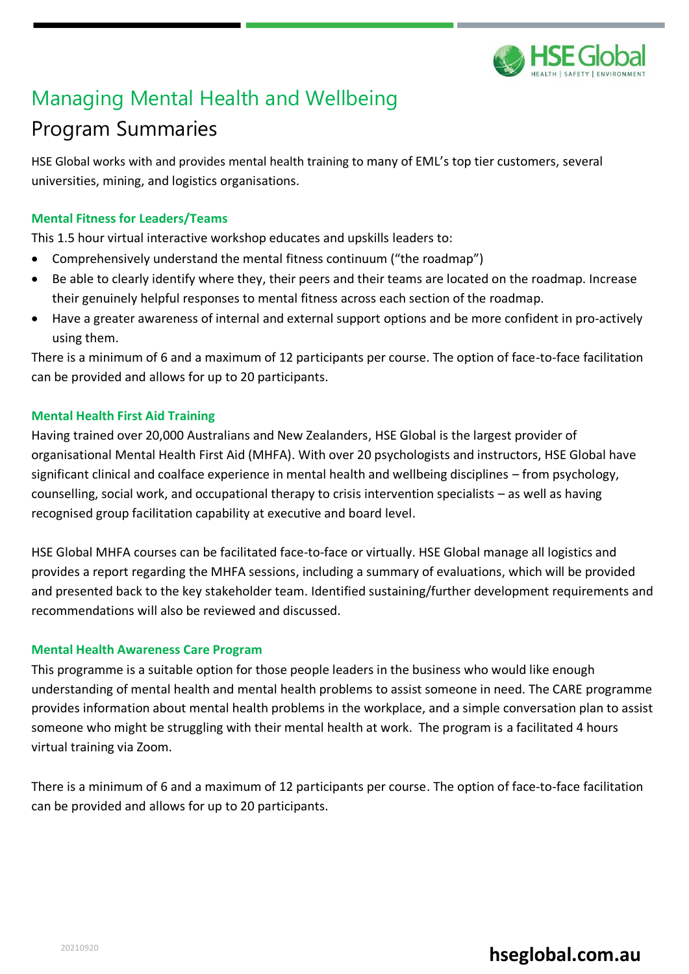

# Managing Mental Health and Wellbeing

# Program Summaries

HSE Global works with and provides mental health training to many of EML's top tier customers, several universities, mining, and logistics organisations.

### **Mental Fitness for Leaders/Teams**

This 1.5 hour virtual interactive workshop educates and upskills leaders to:

- Comprehensively understand the mental fitness continuum ("the roadmap")
- Be able to clearly identify where they, their peers and their teams are located on the roadmap. Increase their genuinely helpful responses to mental fitness across each section of the roadmap.
- Have a greater awareness of internal and external support options and be more confident in pro-actively using them.

There is a minimum of 6 and a maximum of 12 participants per course. The option of face-to-face facilitation can be provided and allows for up to 20 participants.

### **Mental Health First Aid Training**

Having trained over 20,000 Australians and New Zealanders, HSE Global is the largest provider of organisational Mental Health First Aid (MHFA). With over 20 psychologists and instructors, HSE Global have significant clinical and coalface experience in mental health and wellbeing disciplines – from psychology, counselling, social work, and occupational therapy to crisis intervention specialists – as well as having recognised group facilitation capability at executive and board level.

HSE Global MHFA courses can be facilitated face-to-face or virtually. HSE Global manage all logistics and provides a report regarding the MHFA sessions, including a summary of evaluations, which will be provided and presented back to the key stakeholder team. Identified sustaining/further development requirements and recommendations will also be reviewed and discussed.

### **Mental Health Awareness Care Program**

This programme is a suitable option for those people leaders in the business who would like enough understanding of mental health and mental health problems to assist someone in need. The CARE programme provides information about mental health problems in the workplace, and a simple conversation plan to assist someone who might be struggling with their mental health at work. The program is a facilitated 4 hours virtual training via Zoom.

There is a minimum of 6 and a maximum of 12 participants per course. The option of face-to-face facilitation can be provided and allows for up to 20 participants.